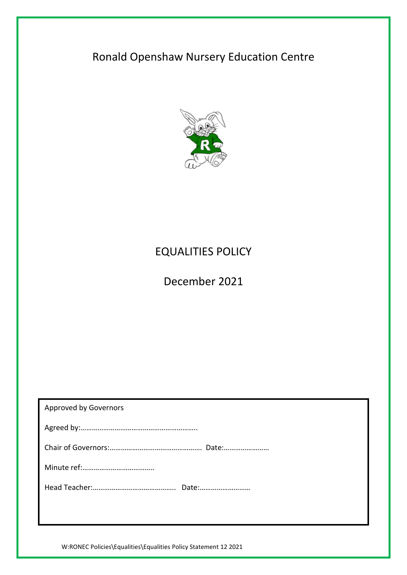# Ronald Openshaw Nursery Education Centre



## EQUALITIES POLICY

December 2021

| Approved by Governors |
|-----------------------|
|                       |
|                       |
|                       |
|                       |
|                       |

W:RONEC Policies\Equalities\Equalities Policy Statement 12 2021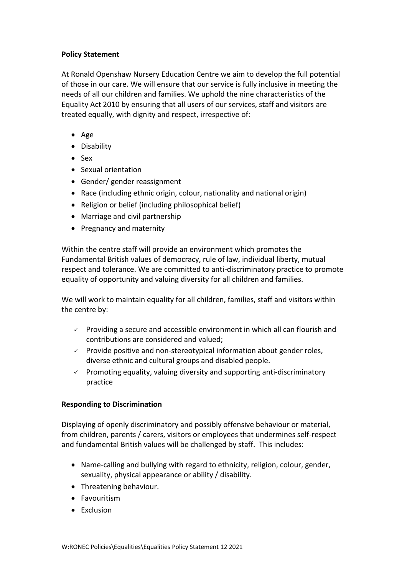### **Policy Statement**

At Ronald Openshaw Nursery Education Centre we aim to develop the full potential of those in our care. We will ensure that our service is fully inclusive in meeting the needs of all our children and families. We uphold the nine characteristics of the Equality Act 2010 by ensuring that all users of our services, staff and visitors are treated equally, with dignity and respect, irrespective of:

- $\bullet$  Age
- Disability
- Sex
- Sexual orientation
- Gender/ gender reassignment
- Race (including ethnic origin, colour, nationality and national origin)
- Religion or belief (including philosophical belief)
- Marriage and civil partnership
- Pregnancy and maternity

Within the centre staff will provide an environment which promotes the Fundamental British values of democracy, rule of law, individual liberty, mutual respect and tolerance. We are committed to anti-discriminatory practice to promote equality of opportunity and valuing diversity for all children and families.

We will work to maintain equality for all children, families, staff and visitors within the centre by:

- $\checkmark$  Providing a secure and accessible environment in which all can flourish and contributions are considered and valued;
- $\checkmark$  Provide positive and non-stereotypical information about gender roles, diverse ethnic and cultural groups and disabled people.
- $\checkmark$  Promoting equality, valuing diversity and supporting anti-discriminatory practice

#### **Responding to Discrimination**

Displaying of openly discriminatory and possibly offensive behaviour or material, from children, parents / carers, visitors or employees that undermines self-respect and fundamental British values will be challenged by staff. This includes:

- Name-calling and bullying with regard to ethnicity, religion, colour, gender, sexuality, physical appearance or ability / disability.
- Threatening behaviour.
- **•** Favouritism
- Exclusion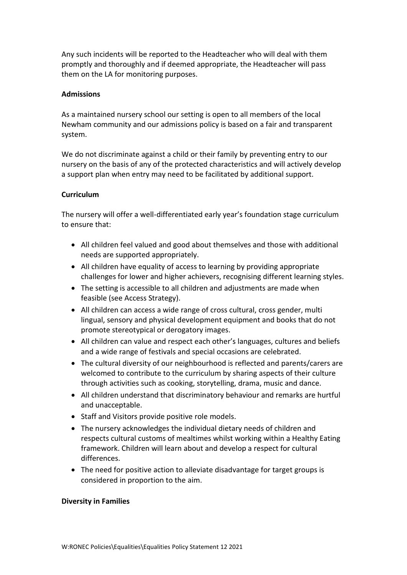Any such incidents will be reported to the Headteacher who will deal with them promptly and thoroughly and if deemed appropriate, the Headteacher will pass them on the LA for monitoring purposes.

### **Admissions**

As a maintained nursery school our setting is open to all members of the local Newham community and our admissions policy is based on a fair and transparent system.

We do not discriminate against a child or their family by preventing entry to our nursery on the basis of any of the protected characteristics and will actively develop a support plan when entry may need to be facilitated by additional support.

### **Curriculum**

The nursery will offer a well-differentiated early year's foundation stage curriculum to ensure that:

- All children feel valued and good about themselves and those with additional needs are supported appropriately.
- All children have equality of access to learning by providing appropriate challenges for lower and higher achievers, recognising different learning styles.
- The setting is accessible to all children and adjustments are made when feasible (see Access Strategy).
- All children can access a wide range of cross cultural, cross gender, multi lingual, sensory and physical development equipment and books that do not promote stereotypical or derogatory images.
- All children can value and respect each other's languages, cultures and beliefs and a wide range of festivals and special occasions are celebrated.
- The cultural diversity of our neighbourhood is reflected and parents/carers are welcomed to contribute to the curriculum by sharing aspects of their culture through activities such as cooking, storytelling, drama, music and dance.
- All children understand that discriminatory behaviour and remarks are hurtful and unacceptable.
- Staff and Visitors provide positive role models.
- The nursery acknowledges the individual dietary needs of children and respects cultural customs of mealtimes whilst working within a Healthy Eating framework. Children will learn about and develop a respect for cultural differences.
- The need for positive action to alleviate disadvantage for target groups is considered in proportion to the aim.

#### **Diversity in Families**